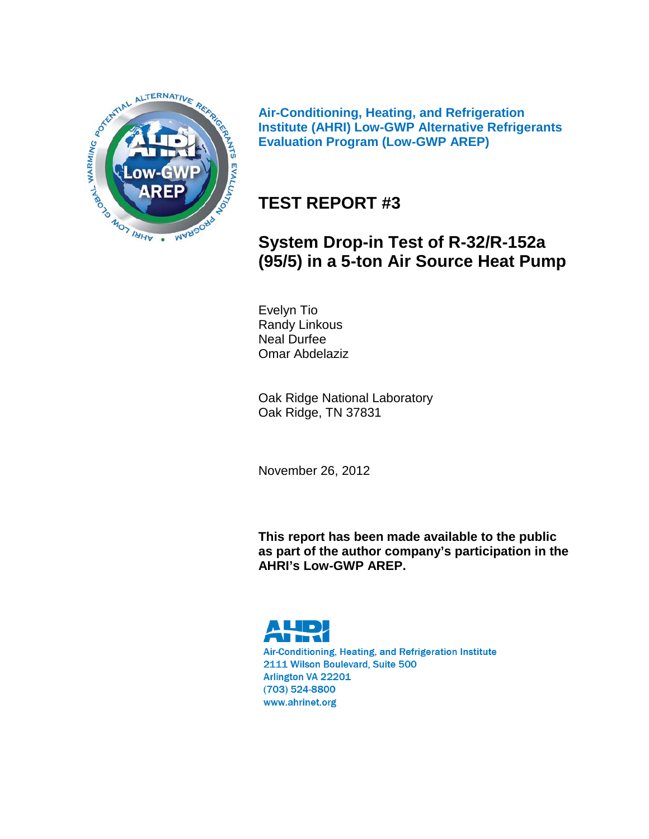

**Air-Conditioning, Heating, and Refrigeration Institute (AHRI) Low-GWP Alternative Refrigerants Evaluation Program (Low-GWP AREP)**

# **TEST REPORT #3**

# **System Drop-in Test of R-32/R-152a (95/5) in a 5-ton Air Source Heat Pump**

Evelyn Tio Randy Linkous Neal Durfee Omar Abdelaziz

Oak Ridge National Laboratory Oak Ridge, TN 37831

November 26, 2012

**This report has been made available to the public as part of the author company's participation in the AHRI's Low-GWP AREP.**

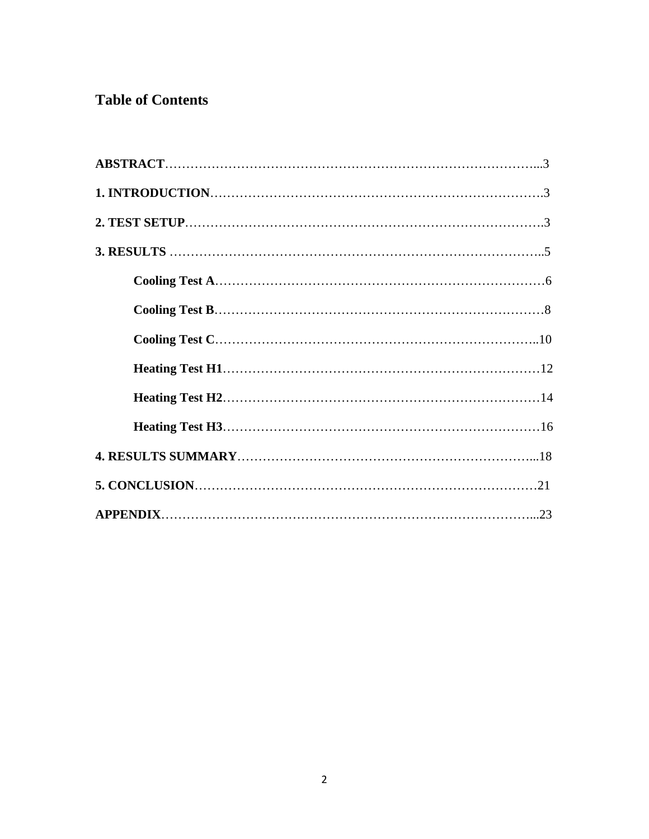## **Table of Contents**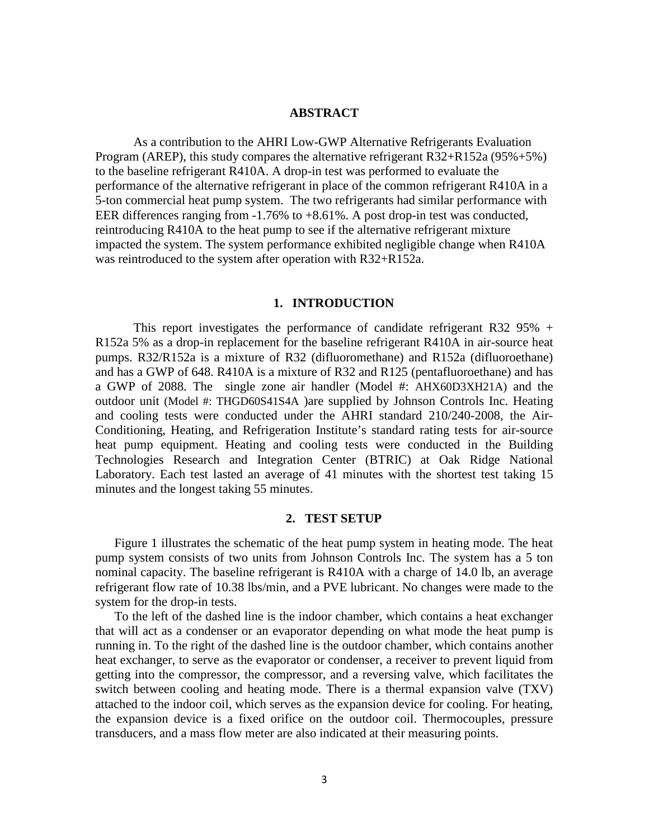#### **ABSTRACT**

 As a contribution to the AHRI Low-GWP Alternative Refrigerants Evaluation Program (AREP), this study compares the alternative refrigerant R32+R152a (95%+5%) to the baseline refrigerant R410A. A drop-in test was performed to evaluate the performance of the alternative refrigerant in place of the common refrigerant R410A in a 5-ton commercial heat pump system. The two refrigerants had similar performance with EER differences ranging from -1.76% to +8.61%. A post drop-in test was conducted, reintroducing R410A to the heat pump to see if the alternative refrigerant mixture impacted the system. The system performance exhibited negligible change when R410A was reintroduced to the system after operation with R32+R152a.

#### **1. INTRODUCTION**

This report investigates the performance of candidate refrigerant R32 95%  $+$ R152a 5% as a drop-in replacement for the baseline refrigerant R410A in air-source heat pumps. R32/R152a is a mixture of R32 (difluoromethane) and R152a (difluoroethane) and has a GWP of 648. R410A is a mixture of R32 and R125 (pentafluoroethane) and has a GWP of 2088. The single zone air handler (Model #: AHX60D3XH21A) and the outdoor unit (Model #: THGD60S41S4A )are supplied by Johnson Controls Inc. Heating and cooling tests were conducted under the AHRI standard 210/240-2008, the Air-Conditioning, Heating, and Refrigeration Institute's standard rating tests for air-source heat pump equipment. Heating and cooling tests were conducted in the Building Technologies Research and Integration Center (BTRIC) at Oak Ridge National Laboratory. Each test lasted an average of 41 minutes with the shortest test taking 15 minutes and the longest taking 55 minutes.

#### **2. TEST SETUP**

Figure 1 illustrates the schematic of the heat pump system in heating mode. The heat pump system consists of two units from Johnson Controls Inc. The system has a 5 ton nominal capacity. The baseline refrigerant is R410A with a charge of 14.0 lb, an average refrigerant flow rate of 10.38 lbs/min, and a PVE lubricant. No changes were made to the system for the drop-in tests.

To the left of the dashed line is the indoor chamber, which contains a heat exchanger that will act as a condenser or an evaporator depending on what mode the heat pump is running in. To the right of the dashed line is the outdoor chamber, which contains another heat exchanger, to serve as the evaporator or condenser, a receiver to prevent liquid from getting into the compressor, the compressor, and a reversing valve, which facilitates the switch between cooling and heating mode. There is a thermal expansion valve (TXV) attached to the indoor coil, which serves as the expansion device for cooling. For heating, the expansion device is a fixed orifice on the outdoor coil. Thermocouples, pressure transducers, and a mass flow meter are also indicated at their measuring points.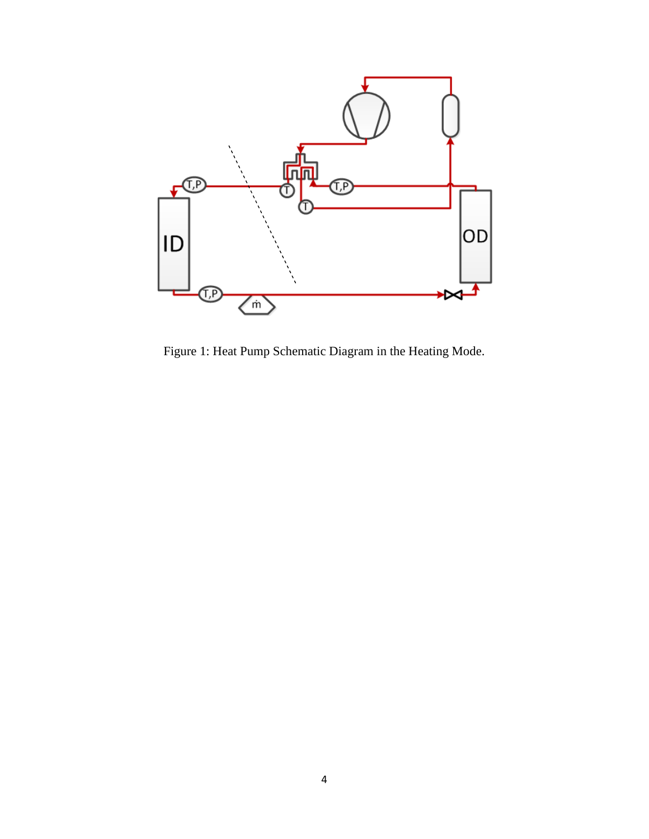

Figure 1: Heat Pump Schematic Diagram in the Heating Mode.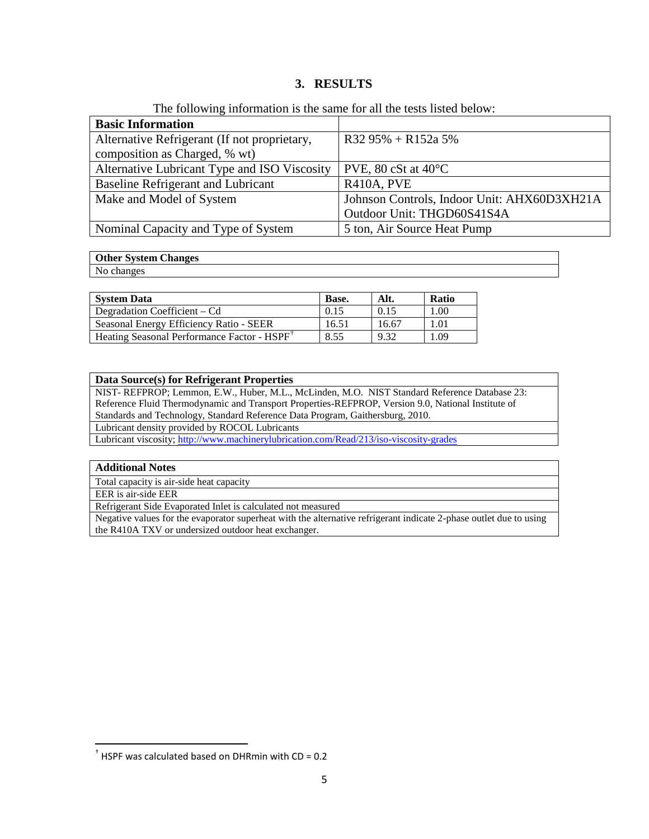### **3. RESULTS**

| THE TONOWING INFORMATION IS the same for an the tests instead enow. |                                             |
|---------------------------------------------------------------------|---------------------------------------------|
| <b>Basic Information</b>                                            |                                             |
| Alternative Refrigerant (If not proprietary,                        | $R3295\% + R152a5\%$                        |
| composition as Charged, % wt)                                       |                                             |
| Alternative Lubricant Type and ISO Viscosity                        | PVE, 80 cSt at $40^{\circ}$ C               |
| Baseline Refrigerant and Lubricant                                  | R410A, PVE                                  |
| Make and Model of System                                            | Johnson Controls, Indoor Unit: AHX60D3XH21A |
|                                                                     | Outdoor Unit: THGD60S41S4A                  |
| Nominal Capacity and Type of System                                 | 5 ton, Air Source Heat Pump                 |

### The following information is the same for all the tests listed below:

#### **Other System Changes**

No changes

| <b>System Data</b>                                      | <b>Base.</b> | Alt.  | <b>Ratio</b> |
|---------------------------------------------------------|--------------|-------|--------------|
| Degradation Coefficient – Cd                            | 0.15         | 0.15  | 1.00         |
| Seasonal Energy Efficiency Ratio - SEER                 | 16.51        | 16.67 | 1.01         |
| Heating Seasonal Performance Factor - HSPF <sup>T</sup> | 8.55         | 9.32  | .09          |

### **Data Source(s) for Refrigerant Properties**

NIST- REFPROP; Lemmon, E.W., Huber, M.L., McLinden, M.O. NIST Standard Reference Database 23: Reference Fluid Thermodynamic and Transport Properties-REFPROP, Version 9.0, National Institute of Standards and Technology, Standard Reference Data Program, Gaithersburg, 2010.

Lubricant density provided by ROCOL Lubricants

Lubricant viscosity;<http://www.machinerylubrication.com/Read/213/iso-viscosity-grades>

#### **Additional Notes**

Total capacity is air-side heat capacity

EER is air-side EER

l

Refrigerant Side Evaporated Inlet is calculated not measured

Negative values for the evaporator superheat with the alternative refrigerant indicate 2-phase outlet due to using the R410A TXV or undersized outdoor heat exchanger.

<span id="page-4-0"></span> $<sup>†</sup>$  HSPF was calculated based on DHRmin with CD = 0.2</sup>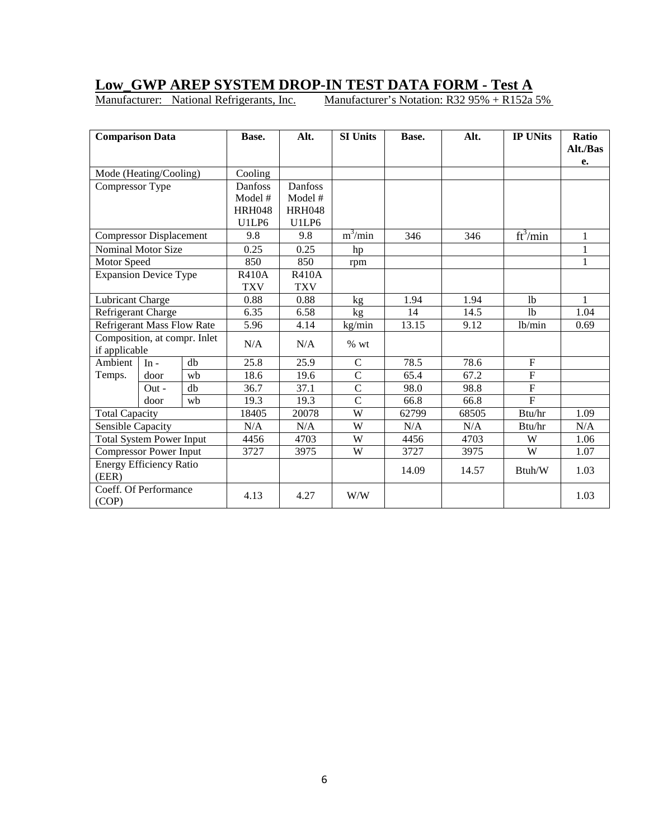## **Low\_GWP AREP SYSTEM DROP-IN TEST DATA FORM - Test A**

Manufacturer: National Refrigerants, Inc. Manufacturer's Notation: R32 95% + R152a 5%

| <b>Comparison Data</b>                        |                                   |      | Base.         | Alt.                           | <b>SI Units</b>                   | Base. | Alt.           | <b>IP UNits</b> | Ratio<br>Alt./Bas |
|-----------------------------------------------|-----------------------------------|------|---------------|--------------------------------|-----------------------------------|-------|----------------|-----------------|-------------------|
| Mode (Heating/Cooling)                        |                                   |      | Cooling       |                                |                                   |       |                |                 | e.                |
|                                               |                                   |      | Danfoss       | Danfoss                        |                                   |       |                |                 |                   |
| Compressor Type                               |                                   |      |               |                                |                                   |       |                |                 |                   |
|                                               |                                   |      | Model #       | Model #<br><b>HRH048</b>       |                                   |       |                |                 |                   |
|                                               |                                   |      | <b>HRH048</b> | U <sub>1</sub> LP <sub>6</sub> |                                   |       |                |                 |                   |
|                                               |                                   |      | U1LP6         |                                |                                   |       |                |                 |                   |
| <b>Compressor Displacement</b>                |                                   |      | 9.8           | 9.8                            | $\frac{1}{\text{m}^3/\text{min}}$ | 346   | 346            | $ft^3/min$      | 1                 |
| <b>Nominal Motor Size</b>                     |                                   |      | 0.25          | 0.25                           | hp                                |       |                |                 | 1                 |
| Motor Speed                                   |                                   |      | 850           | 850                            | rpm                               |       |                |                 | 1                 |
| <b>Expansion Device Type</b>                  |                                   |      | <b>R410A</b>  | <b>R410A</b>                   |                                   |       |                |                 |                   |
|                                               |                                   |      | <b>TXV</b>    | <b>TXV</b>                     |                                   |       |                |                 |                   |
| Lubricant Charge                              |                                   | 0.88 | 0.88          | kg                             | 1.94                              | 1.94  | 1 <sub>b</sub> | 1               |                   |
|                                               | Refrigerant Charge                |      | 6.35          | 6.58                           | kg                                | 14    | 14.5           | 1 <sub>b</sub>  | 1.04              |
|                                               | <b>Refrigerant Mass Flow Rate</b> |      | 5.96          | 4.14                           | kg/min                            | 13.15 | 9.12           | lb/min          | 0.69              |
| Composition, at compr. Inlet<br>if applicable |                                   |      | N/A           | N/A                            | $%$ wt                            |       |                |                 |                   |
| Ambient                                       | $In -$                            | $db$ | 25.8          | 25.9                           | $\mathsf{C}$                      | 78.5  | 78.6           | $\mathbf{F}$    |                   |
| Temps.                                        | door                              | wb   | 18.6          | 19.6                           | $\overline{C}$                    | 65.4  | 67.2           | F               |                   |
|                                               | $Out -$                           | db   | 36.7          | 37.1                           | $\mathsf{C}$                      | 98.0  | 98.8           | $\overline{F}$  |                   |
|                                               | door                              | wb   | 19.3          | 19.3                           | $\overline{C}$                    | 66.8  | 66.8           | $\overline{F}$  |                   |
| <b>Total Capacity</b>                         |                                   |      | 18405         | 20078                          | W                                 | 62799 | 68505          | Btu/hr          | 1.09              |
| Sensible Capacity                             |                                   |      | N/A           | N/A                            | W                                 | N/A   | N/A            | Btu/hr          | N/A               |
|                                               | <b>Total System Power Input</b>   |      | 4456          | 4703                           | W                                 | 4456  | 4703           | W               | 1.06              |
|                                               | <b>Compressor Power Input</b>     |      | 3727          | 3975                           | W                                 | 3727  | 3975           | W               | 1.07              |
| Energy Efficiency Ratio<br>(EER)              |                                   |      |               |                                |                                   | 14.09 | 14.57          | Btuh/W          | 1.03              |
| (COP)                                         | Coeff. Of Performance             |      | 4.13          | 4.27                           | W/W                               |       |                |                 | 1.03              |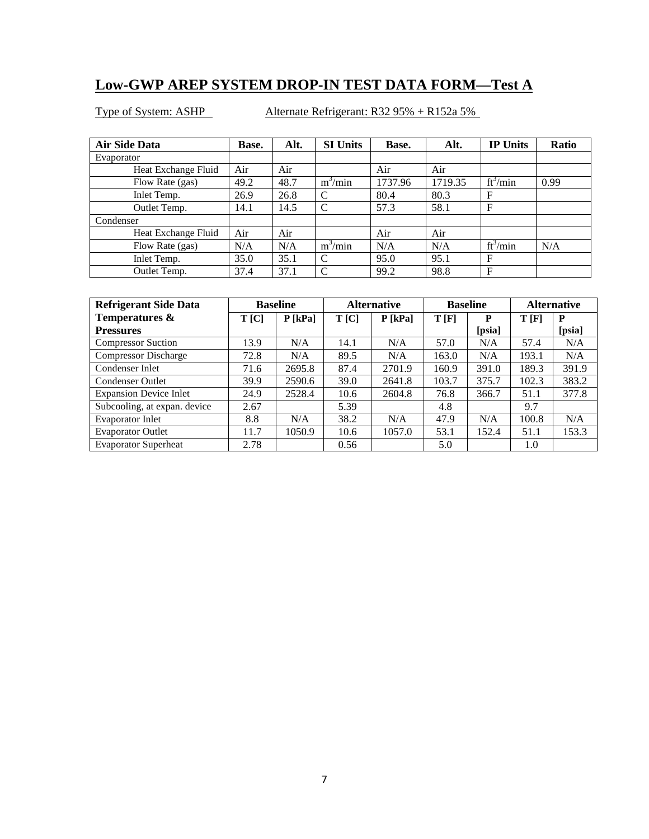# **Low-GWP AREP SYSTEM DROP-IN TEST DATA FORM—Test A**

| <b>Air Side Data</b> | Base. | Alt. | <b>SI Units</b> | Base.   | Alt.    | <b>IP Units</b> | Ratio |
|----------------------|-------|------|-----------------|---------|---------|-----------------|-------|
| Evaporator           |       |      |                 |         |         |                 |       |
| Heat Exchange Fluid  | Air   | Air  |                 | Air     | Air     |                 |       |
| Flow Rate (gas)      | 49.2  | 48.7 | $m^3/m$ in      | 1737.96 | 1719.35 | $ft^3/min$      | 0.99  |
| Inlet Temp.          | 26.9  | 26.8 | C               | 80.4    | 80.3    | F               |       |
| Outlet Temp.         | 14.1  | 14.5 | C               | 57.3    | 58.1    | F               |       |
| Condenser            |       |      |                 |         |         |                 |       |
| Heat Exchange Fluid  | Air   | Air  |                 | Air     | Air     |                 |       |
| Flow Rate (gas)      | N/A   | N/A  | $m^3/min$       | N/A     | N/A     | $ft^3/min$      | N/A   |
| Inlet Temp.          | 35.0  | 35.1 | C               | 95.0    | 95.1    | F               |       |
| Outlet Temp.         | 37.4  | 37.1 | $\Gamma$        | 99.2    | 98.8    | F               |       |

| <b>Refrigerant Side Data</b>  |      | <b>Baseline</b> |      | <b>Alternative</b> |       | <b>Baseline</b> |       | <b>Alternative</b> |
|-------------------------------|------|-----------------|------|--------------------|-------|-----------------|-------|--------------------|
| Temperatures &                | T[C] | $P$ [kPa]       | T[C] | $P$ [kPa]          | T[F]  | P               | T[F]  | P                  |
| <b>Pressures</b>              |      |                 |      |                    |       | [psia]          |       | [psia]             |
| <b>Compressor Suction</b>     | 13.9 | N/A             | 14.1 | N/A                | 57.0  | N/A             | 57.4  | N/A                |
| <b>Compressor Discharge</b>   | 72.8 | N/A             | 89.5 | N/A                | 163.0 | N/A             | 193.1 | N/A                |
| Condenser Inlet               | 71.6 | 2695.8          | 87.4 | 2701.9             | 160.9 | 391.0           | 189.3 | 391.9              |
| <b>Condenser Outlet</b>       | 39.9 | 2590.6          | 39.0 | 2641.8             | 103.7 | 375.7           | 102.3 | 383.2              |
| <b>Expansion Device Inlet</b> | 24.9 | 2528.4          | 10.6 | 2604.8             | 76.8  | 366.7           | 51.1  | 377.8              |
| Subcooling, at expan. device  | 2.67 |                 | 5.39 |                    | 4.8   |                 | 9.7   |                    |
| Evaporator Inlet              | 8.8  | N/A             | 38.2 | N/A                | 47.9  | N/A             | 100.8 | N/A                |
| <b>Evaporator Outlet</b>      | 11.7 | 1050.9          | 10.6 | 1057.0             | 53.1  | 152.4           | 51.1  | 153.3              |
| <b>Evaporator Superheat</b>   | 2.78 |                 | 0.56 |                    | 5.0   |                 | 1.0   |                    |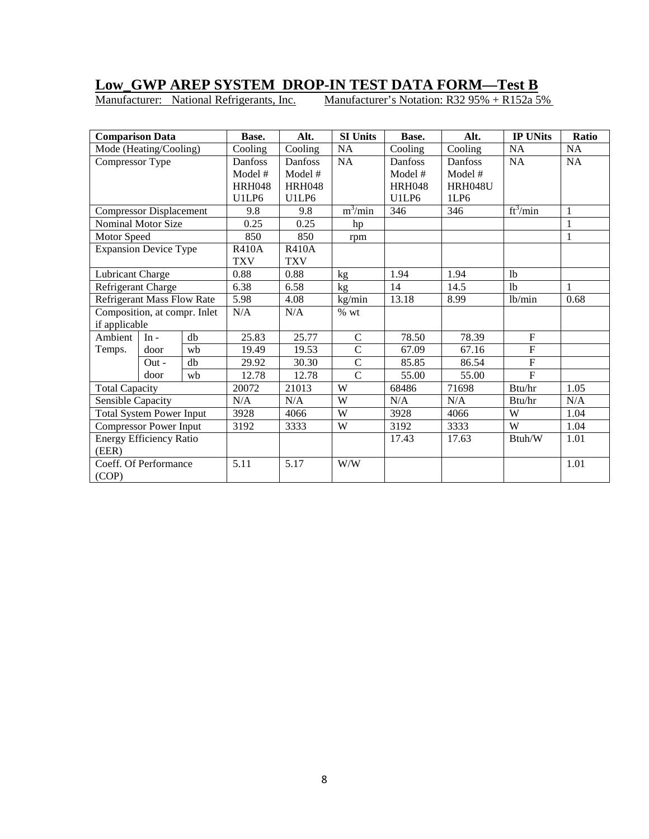### **Low\_GWP AREP SYSTEM DROP-IN TEST DATA FORM—Test B**

Manufacturer: National Refrigerants, Inc. Manufacturer's Notation: R32 95% + R152a 5%

| <b>Comparison Data</b>            |         |      | Base.         | Alt.          | <b>SI Units</b> | Base.         | Alt.           | <b>IP UNits</b> | Ratio        |
|-----------------------------------|---------|------|---------------|---------------|-----------------|---------------|----------------|-----------------|--------------|
| Mode (Heating/Cooling)            |         |      | Cooling       | Cooling       | <b>NA</b>       | Cooling       | Cooling        | <b>NA</b>       | <b>NA</b>    |
| Compressor Type                   |         |      | Danfoss       | Danfoss       | <b>NA</b>       | Danfoss       | Danfoss        | NA              | NA           |
|                                   |         |      | Model #       | Model #       |                 | Model #       | Model #        |                 |              |
|                                   |         |      | <b>HRH048</b> | <b>HRH048</b> |                 | <b>HRH048</b> | <b>HRH048U</b> |                 |              |
|                                   |         |      | U1LP6         | U1LP6         |                 | U1LP6         | 1LP6           |                 |              |
| <b>Compressor Displacement</b>    |         |      | 9.8           | 9.8           | $m^3/m$ in      | 346           | 346            | $ft^3/min$      | $\mathbf{1}$ |
| <b>Nominal Motor Size</b>         |         |      | 0.25          | 0.25          | hp              |               |                |                 | 1            |
| Motor Speed                       |         |      | 850           | 850           | rpm             |               |                |                 | $\mathbf{1}$ |
| <b>Expansion Device Type</b>      |         |      | <b>R410A</b>  | <b>R410A</b>  |                 |               |                |                 |              |
|                                   |         |      | <b>TXV</b>    | <b>TXV</b>    |                 |               |                |                 |              |
| Lubricant Charge                  |         |      | 0.88          | 0.88          | kg              | 1.94          | 1.94           | 1 <sub>b</sub>  |              |
| Refrigerant Charge                |         | 6.38 | 6.58          | kg            | 14              | 14.5          | 1 <sub>b</sub> | 1               |              |
| <b>Refrigerant Mass Flow Rate</b> |         | 5.98 | 4.08          | kg/min        | 13.18           | 8.99          | lb/min         | 0.68            |              |
| Composition, at compr. Inlet      |         | N/A  | N/A           | $%$ wt        |                 |               |                |                 |              |
| if applicable                     |         |      |               |               |                 |               |                |                 |              |
| Ambient                           | $In -$  | db   | 25.83         | 25.77         | $\mathbf C$     | 78.50         | 78.39          | $\mathbf F$     |              |
| Temps.                            | door    | wb   | 19.49         | 19.53         | $\mathbf C$     | 67.09         | 67.16          | F               |              |
|                                   | $Out -$ | $db$ | 29.92         | 30.30         | $\overline{C}$  | 85.85         | 86.54          | $\overline{F}$  |              |
|                                   | door    | wb   | 12.78         | 12.78         | $\overline{C}$  | 55.00         | 55.00          | F               |              |
| <b>Total Capacity</b>             |         |      | 20072         | 21013         | W               | 68486         | 71698          | Btu/hr          | 1.05         |
| Sensible Capacity                 |         |      | N/A           | N/A           | W               | N/A           | N/A            | Btu/hr          | N/A          |
| <b>Total System Power Input</b>   |         |      | 3928          | 4066          | W               | 3928          | 4066           | W               | 1.04         |
| <b>Compressor Power Input</b>     |         |      | 3192          | 3333          | W               | 3192          | 3333           | W               | 1.04         |
| <b>Energy Efficiency Ratio</b>    |         |      |               |               |                 | 17.43         | 17.63          | Btuh/W          | 1.01         |
| (EER)                             |         |      |               |               |                 |               |                |                 |              |
| Coeff. Of Performance             |         |      | 5.11          | 5.17          | W/W             |               |                |                 | 1.01         |
| (COP)                             |         |      |               |               |                 |               |                |                 |              |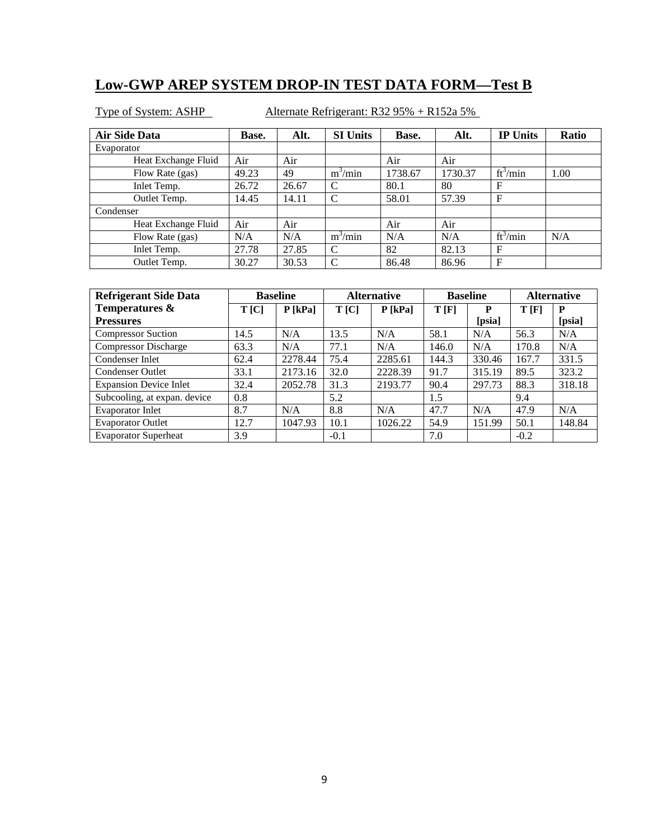# **Low-GWP AREP SYSTEM DROP-IN TEST DATA FORM—Test B**

| <b>Air Side Data</b> | Base. | Alt.  | <b>SI Units</b> | Base.   | Alt.    | <b>IP Units</b> | Ratio |
|----------------------|-------|-------|-----------------|---------|---------|-----------------|-------|
| Evaporator           |       |       |                 |         |         |                 |       |
| Heat Exchange Fluid  | Air   | Air   |                 | Air     | Air     |                 |       |
| Flow Rate (gas)      | 49.23 | 49    | $m^3/min$       | 1738.67 | 1730.37 | $ft^3/min$      | 1.00  |
| Inlet Temp.          | 26.72 | 26.67 | C               | 80.1    | 80      | $\mathbf F$     |       |
| Outlet Temp.         | 14.45 | 14.11 | C               | 58.01   | 57.39   | $\mathbf F$     |       |
| Condenser            |       |       |                 |         |         |                 |       |
| Heat Exchange Fluid  | Air   | Air   |                 | Air     | Air     |                 |       |
| Flow Rate (gas)      | N/A   | N/A   | $m^3/min$       | N/A     | N/A     | $ft^3/min$      | N/A   |
| Inlet Temp.          | 27.78 | 27.85 | C               | 82      | 82.13   | $\mathbf F$     |       |
| Outlet Temp.         | 30.27 | 30.53 | C               | 86.48   | 86.96   | $\mathbf F$     |       |

| <b>Refrigerant Side Data</b>  |      | <b>Baseline</b> |        | <b>Alternative</b> |       | <b>Baseline</b> |        | <b>Alternative</b> |
|-------------------------------|------|-----------------|--------|--------------------|-------|-----------------|--------|--------------------|
| Temperatures &                | T[C] | $P$ [kPa]       | T[C]   | $P$ [kPa]          | T[F]  | P               | T[F]   | P                  |
| <b>Pressures</b>              |      |                 |        |                    |       | [psia]          |        | [psia]             |
| <b>Compressor Suction</b>     | 14.5 | N/A             | 13.5   | N/A                | 58.1  | N/A             | 56.3   | N/A                |
| <b>Compressor Discharge</b>   | 63.3 | N/A             | 77.1   | N/A                | 146.0 | N/A             | 170.8  | N/A                |
| Condenser Inlet               | 62.4 | 2278.44         | 75.4   | 2285.61            | 144.3 | 330.46          | 167.7  | 331.5              |
| <b>Condenser Outlet</b>       | 33.1 | 2173.16         | 32.0   | 2228.39            | 91.7  | 315.19          | 89.5   | 323.2              |
| <b>Expansion Device Inlet</b> | 32.4 | 2052.78         | 31.3   | 2193.77            | 90.4  | 297.73          | 88.3   | 318.18             |
| Subcooling, at expan. device  | 0.8  |                 | 5.2    |                    | 1.5   |                 | 9.4    |                    |
| <b>Evaporator Inlet</b>       | 8.7  | N/A             | 8.8    | N/A                | 47.7  | N/A             | 47.9   | N/A                |
| <b>Evaporator Outlet</b>      | 12.7 | 1047.93         | 10.1   | 1026.22            | 54.9  | 151.99          | 50.1   | 148.84             |
| <b>Evaporator Superheat</b>   | 3.9  |                 | $-0.1$ |                    | 7.0   |                 | $-0.2$ |                    |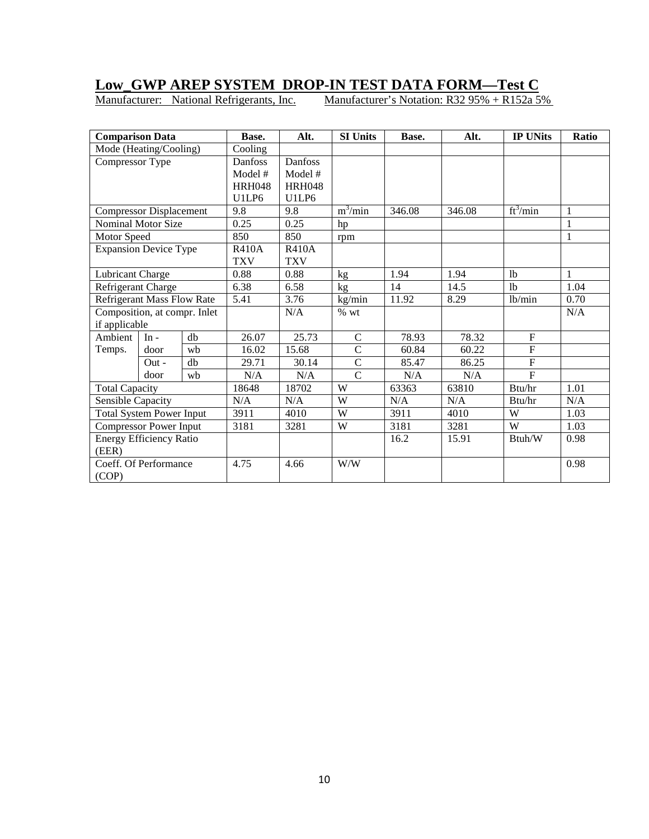## **Low\_GWP AREP SYSTEM DROP-IN TEST DATA FORM—Test C**

Manufacturer: National Refrigerants, Inc. Manufacturer's Notation: R32 95% + R152a 5%

| <b>Comparison Data</b>          |         |      | Base.         | Alt.          | <b>SI Units</b> | Base.     | Alt.           | <b>IP UNits</b> | Ratio |
|---------------------------------|---------|------|---------------|---------------|-----------------|-----------|----------------|-----------------|-------|
| Mode (Heating/Cooling)          |         |      | Cooling       |               |                 |           |                |                 |       |
| Compressor Type                 |         |      | Danfoss       | Danfoss       |                 |           |                |                 |       |
|                                 |         |      | Model #       | Model #       |                 |           |                |                 |       |
|                                 |         |      | <b>HRH048</b> | <b>HRH048</b> |                 |           |                |                 |       |
|                                 |         |      | U1LP6         | U1LP6         |                 |           |                |                 |       |
| <b>Compressor Displacement</b>  |         | 9.8  | 9.8           | $m^3/m$ in    | 346.08          | 346.08    | $ft^3/min$     | 1               |       |
| <b>Nominal Motor Size</b>       |         |      | 0.25          | 0.25          | hp              |           |                |                 | 1     |
| Motor Speed                     |         |      | 850           | 850           | rpm             |           |                |                 | 1     |
| <b>Expansion Device Type</b>    |         |      | <b>R410A</b>  | <b>R410A</b>  |                 |           |                |                 |       |
|                                 |         |      | <b>TXV</b>    | <b>TXV</b>    |                 |           |                |                 |       |
| Lubricant Charge                |         |      | 0.88          | 0.88          | kg              | 1.94      | 1.94           | 1 <sub>b</sub>  | 1     |
| Refrigerant Charge              |         | 6.38 | 6.58          | kg            | 14              | 14.5      | 1 <sub>b</sub> | 1.04            |       |
| Refrigerant Mass Flow Rate      |         | 5.41 | 3.76          | kg/min        | 11.92           | 8.29      | lb/min         | 0.70            |       |
| Composition, at compr. Inlet    |         |      | N/A           | $%$ wt        |                 |           |                | N/A             |       |
| if applicable                   |         |      |               |               |                 |           |                |                 |       |
| Ambient                         | $In -$  | db   | 26.07         | 25.73         | $\mathsf{C}$    | 78.93     | 78.32          | $\mathbf F$     |       |
| Temps.                          | door    | wb   | 16.02         | 15.68         | $\overline{C}$  | 60.84     | 60.22          | $\overline{F}$  |       |
|                                 | $Out -$ | db   | 29.71         | 30.14         | $\overline{C}$  | 85.47     | 86.25          | $\overline{F}$  |       |
|                                 | door    | wb   | N/A           | N/A           | $\overline{C}$  | $\rm N/A$ | N/A            | $\overline{F}$  |       |
| <b>Total Capacity</b>           |         |      | 18648         | 18702         | W               | 63363     | 63810          | Btu/hr          | 1.01  |
| Sensible Capacity               |         |      | N/A           | N/A           | W               | N/A       | N/A            | Btu/hr          | N/A   |
| <b>Total System Power Input</b> |         |      | 3911          | 4010          | W               | 3911      | 4010           | W               | 1.03  |
| <b>Compressor Power Input</b>   |         |      | 3181          | 3281          | W               | 3181      | 3281           | W               | 1.03  |
| <b>Energy Efficiency Ratio</b>  |         |      |               |               |                 | 16.2      | 15.91          | Btuh/W          | 0.98  |
| (EER)                           |         |      |               |               |                 |           |                |                 |       |
| Coeff. Of Performance           |         |      | 4.75          | 4.66          | W/W             |           |                |                 | 0.98  |
| (COP)                           |         |      |               |               |                 |           |                |                 |       |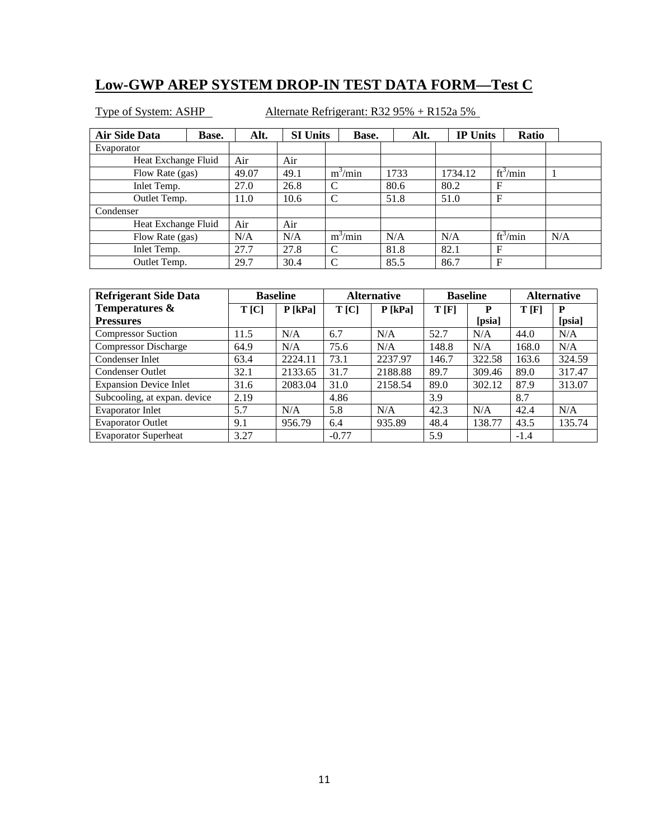# **Low-GWP AREP SYSTEM DROP-IN TEST DATA FORM—Test C**

| <b>Air Side Data</b> | Base. | Alt.  | <b>SI Units</b> | Base.     | Alt. | <b>IP Units</b> | <b>Ratio</b> |     |
|----------------------|-------|-------|-----------------|-----------|------|-----------------|--------------|-----|
| Evaporator           |       |       |                 |           |      |                 |              |     |
| Heat Exchange Fluid  |       | Air   | Air             |           |      |                 |              |     |
| Flow Rate (gas)      |       | 49.07 | 49.1            | $m^3/min$ | 1733 | 1734.12         | $ft^3/min$   |     |
| Inlet Temp.          |       | 27.0  | 26.8            | C         | 80.6 | 80.2            | $\mathbf F$  |     |
| Outlet Temp.         |       | 11.0  | 10.6            | C         | 51.8 | 51.0            | F            |     |
| Condenser            |       |       |                 |           |      |                 |              |     |
| Heat Exchange Fluid  |       | Air   | Air             |           |      |                 |              |     |
| Flow Rate (gas)      |       | N/A   | N/A             | $m^3/min$ | N/A  | N/A             | $ft^3/min$   | N/A |
| Inlet Temp.          |       | 27.7  | 27.8            | C         | 81.8 | 82.1            | $\mathbf F$  |     |
| Outlet Temp.         |       | 29.7  | 30.4            | C         | 85.5 | 86.7            | $\mathbf F$  |     |

| <b>Refrigerant Side Data</b>  |      | <b>Baseline</b> |         | <b>Alternative</b> |       | <b>Baseline</b> |        | <b>Alternative</b> |
|-------------------------------|------|-----------------|---------|--------------------|-------|-----------------|--------|--------------------|
| Temperatures &                | T[C] | $P$ [kPa]       | T[C]    | $P$ [kPa]          | T[F]  | P               | T[F]   | P                  |
| <b>Pressures</b>              |      |                 |         |                    |       | [psia]          |        | [psia]             |
| <b>Compressor Suction</b>     | 11.5 | N/A             | 6.7     | N/A                | 52.7  | N/A             | 44.0   | N/A                |
| <b>Compressor Discharge</b>   | 64.9 | N/A             | 75.6    | N/A                | 148.8 | N/A             | 168.0  | N/A                |
| Condenser Inlet               | 63.4 | 2224.11         | 73.1    | 2237.97            | 146.7 | 322.58          | 163.6  | 324.59             |
| <b>Condenser Outlet</b>       | 32.1 | 2133.65         | 31.7    | 2188.88            | 89.7  | 309.46          | 89.0   | 317.47             |
| <b>Expansion Device Inlet</b> | 31.6 | 2083.04         | 31.0    | 2158.54            | 89.0  | 302.12          | 87.9   | 313.07             |
| Subcooling, at expan. device  | 2.19 |                 | 4.86    |                    | 3.9   |                 | 8.7    |                    |
| <b>Evaporator Inlet</b>       | 5.7  | N/A             | 5.8     | N/A                | 42.3  | N/A             | 42.4   | N/A                |
| <b>Evaporator Outlet</b>      | 9.1  | 956.79          | 6.4     | 935.89             | 48.4  | 138.77          | 43.5   | 135.74             |
| <b>Evaporator Superheat</b>   | 3.27 |                 | $-0.77$ |                    | 5.9   |                 | $-1.4$ |                    |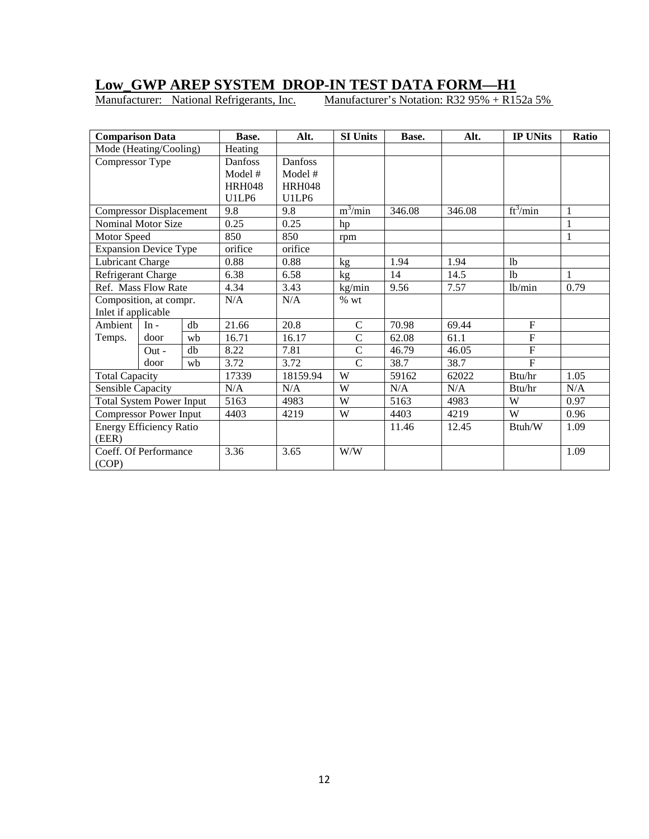# **Low\_GWP AREP SYSTEM DROP-IN TEST DATA FORM—H1**

Manufacturer: National Refrigerants, Inc. Manufacturer's Notation: R32 95% + R152a 5%

| <b>Comparison Data</b>          |                                |      | Base.             | Alt.          | <b>SI Units</b> | Base.  | Alt.           | <b>IP UNits</b>    | Ratio        |
|---------------------------------|--------------------------------|------|-------------------|---------------|-----------------|--------|----------------|--------------------|--------------|
|                                 | Mode (Heating/Cooling)         |      | Heating           |               |                 |        |                |                    |              |
| Compressor Type                 |                                |      | Danfoss           | Danfoss       |                 |        |                |                    |              |
|                                 |                                |      | Model #           | Model #       |                 |        |                |                    |              |
|                                 |                                |      | <b>HRH048</b>     | <b>HRH048</b> |                 |        |                |                    |              |
|                                 |                                |      | U1LP <sub>6</sub> | U1LP6         |                 |        |                |                    |              |
|                                 | <b>Compressor Displacement</b> |      | 9.8               | 9.8           | $m^3/min$       | 346.08 | 346.08         | $ft^3/min$         | $\mathbf{1}$ |
| Nominal Motor Size              |                                | 0.25 | 0.25              | hp            |                 |        |                | $\mathbf{1}$       |              |
| Motor Speed                     |                                |      | 850               | 850           | rpm             |        |                |                    | $\mathbf{1}$ |
| <b>Expansion Device Type</b>    |                                |      | orifice           | orifice       |                 |        |                |                    |              |
| Lubricant Charge                |                                |      | 0.88              | 0.88          | kg              | 1.94   | 1.94           | 1 <sub>b</sub>     |              |
| Refrigerant Charge              |                                | 6.38 | 6.58              | kg            | 14              | 14.5   | 1 <sub>b</sub> | $\mathbf{1}$       |              |
| Ref. Mass Flow Rate             |                                | 4.34 | 3.43              | kg/min        | 9.56            | 7.57   | lb/min         | 0.79               |              |
| Composition, at compr.          |                                | N/A  | N/A               | $%$ wt        |                 |        |                |                    |              |
| Inlet if applicable             |                                |      |                   |               |                 |        |                |                    |              |
| Ambient                         | $In -$                         | db   | 21.66             | 20.8          | $\mathbf C$     | 70.98  | 69.44          | $\mathbf F$        |              |
| Temps.                          | door                           | wb   | 16.71             | 16.17         | $\mathbf C$     | 62.08  | 61.1           | $\overline{F}$     |              |
|                                 | $Out -$                        | db   | 8.22              | 7.81          | $\mathbf C$     | 46.79  | 46.05          | $\overline{F}$     |              |
|                                 | door                           | wb   | 3.72              | 3.72          | $\mathsf{C}$    | 38.7   | 38.7           | $\overline{F}$     |              |
| <b>Total Capacity</b>           |                                |      | 17339             | 18159.94      | W               | 59162  | 62022          | Btu/hr             | 1.05         |
| Sensible Capacity               |                                |      | N/A               | N/A           | W               | N/A    | N/A            | B <sub>tu/hr</sub> | N/A          |
| <b>Total System Power Input</b> |                                | 5163 | 4983              | W             | 5163            | 4983   | W              | 0.97               |              |
| <b>Compressor Power Input</b>   |                                | 4403 | 4219              | W             | 4403            | 4219   | W              | 0.96               |              |
| <b>Energy Efficiency Ratio</b>  |                                |      |                   |               | 11.46           | 12.45  | Btuh/W         | 1.09               |              |
| (EER)                           |                                |      |                   |               |                 |        |                |                    |              |
|                                 | Coeff. Of Performance          |      | 3.36              | 3.65          | W/W             |        |                |                    | 1.09         |
| (COP)                           |                                |      |                   |               |                 |        |                |                    |              |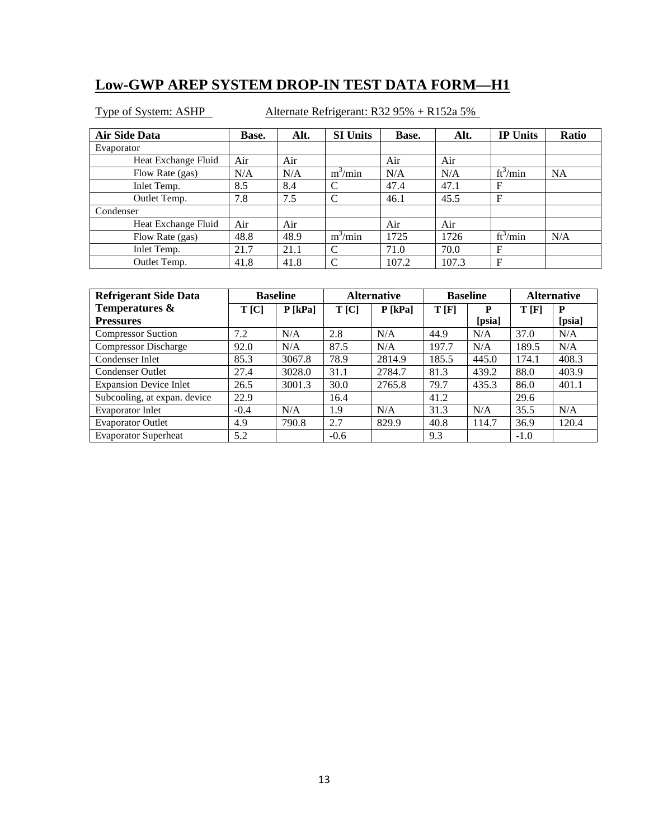# **Low-GWP AREP SYSTEM DROP-IN TEST DATA FORM—H1**

| <b>Air Side Data</b> | Base. | Alt. | <b>SI Units</b> | Base. | Alt.  | <b>IP Units</b> | Ratio     |
|----------------------|-------|------|-----------------|-------|-------|-----------------|-----------|
| Evaporator           |       |      |                 |       |       |                 |           |
| Heat Exchange Fluid  | Air   | Air  |                 | Air   | Air   |                 |           |
| Flow Rate (gas)      | N/A   | N/A  | $m^3/m$ in      | N/A   | N/A   | $ft^3/min$      | <b>NA</b> |
| Inlet Temp.          | 8.5   | 8.4  | C               | 47.4  | 47.1  | $\mathbf F$     |           |
| Outlet Temp.         | 7.8   | 7.5  | C               | 46.1  | 45.5  | F               |           |
| Condenser            |       |      |                 |       |       |                 |           |
| Heat Exchange Fluid  | Air   | Air  |                 | Air   | Air   |                 |           |
| Flow Rate (gas)      | 48.8  | 48.9 | $m^3/min$       | 1725  | 1726  | $ft^3/min$      | N/A       |
| Inlet Temp.          | 21.7  | 21.1 | C               | 71.0  | 70.0  | $\mathbf F$     |           |
| Outlet Temp.         | 41.8  | 41.8 | C               | 107.2 | 107.3 | $\mathbf F$     |           |

| <b>Refrigerant Side Data</b>  |        | <b>Baseline</b> |        | <b>Alternative</b> |       | <b>Baseline</b> |        | <b>Alternative</b> |
|-------------------------------|--------|-----------------|--------|--------------------|-------|-----------------|--------|--------------------|
| Temperatures &                | T[C]   | $P$ [kPa]       | T[C]   | $P$ [kPa]          | T[F]  | P               | T[F]   | P                  |
| <b>Pressures</b>              |        |                 |        |                    |       | [psia]          |        | [psia]             |
| <b>Compressor Suction</b>     | 7.2    | N/A             | 2.8    | N/A                | 44.9  | N/A             | 37.0   | N/A                |
| <b>Compressor Discharge</b>   | 92.0   | N/A             | 87.5   | N/A                | 197.7 | N/A             | 189.5  | N/A                |
| Condenser Inlet               | 85.3   | 3067.8          | 78.9   | 2814.9             | 185.5 | 445.0           | 174.1  | 408.3              |
| <b>Condenser Outlet</b>       | 27.4   | 3028.0          | 31.1   | 2784.7             | 81.3  | 439.2           | 88.0   | 403.9              |
| <b>Expansion Device Inlet</b> | 26.5   | 3001.3          | 30.0   | 2765.8             | 79.7  | 435.3           | 86.0   | 401.1              |
| Subcooling, at expan. device  | 22.9   |                 | 16.4   |                    | 41.2  |                 | 29.6   |                    |
| Evaporator Inlet              | $-0.4$ | N/A             | 1.9    | N/A                | 31.3  | N/A             | 35.5   | N/A                |
| <b>Evaporator Outlet</b>      | 4.9    | 790.8           | 2.7    | 829.9              | 40.8  | 114.7           | 36.9   | 120.4              |
| <b>Evaporator Superheat</b>   | 5.2    |                 | $-0.6$ |                    | 9.3   |                 | $-1.0$ |                    |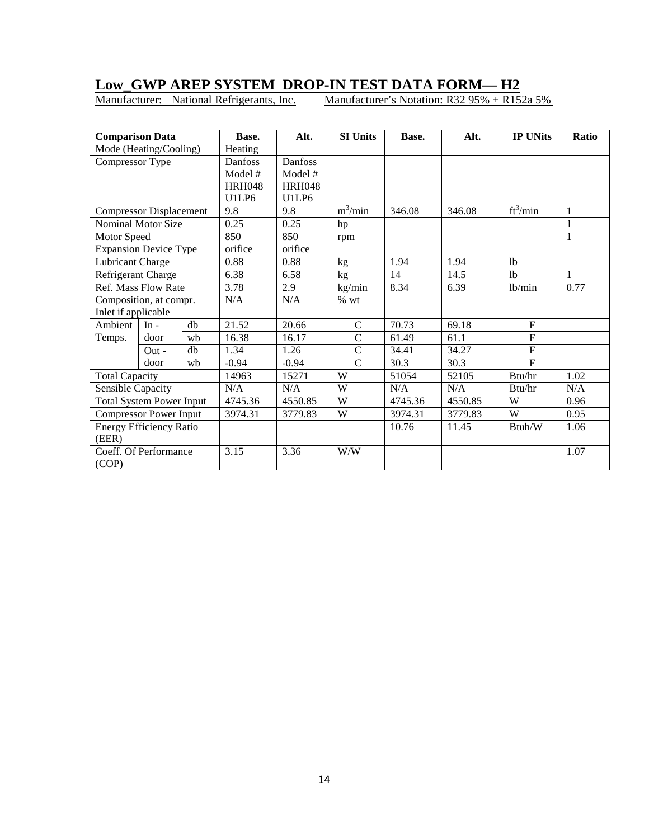# **Low GWP AREP SYSTEM DROP-IN TEST DATA FORM— H2**<br>Manufacturer: National Refrigerants, Inc. Manufacturer's Notation: R32 95% + R152a 5%

Manufacturer: National Refrigerants, Inc.

| <b>Comparison Data</b>         |                                 |         | Base.         | Alt.          | <b>SI Units</b> | Base.   | Alt.           | <b>IP UNits</b> | Ratio |
|--------------------------------|---------------------------------|---------|---------------|---------------|-----------------|---------|----------------|-----------------|-------|
|                                | Mode (Heating/Cooling)          |         | Heating       |               |                 |         |                |                 |       |
| Compressor Type                |                                 |         | Danfoss       | Danfoss       |                 |         |                |                 |       |
|                                |                                 |         | Model #       | Model $#$     |                 |         |                |                 |       |
|                                |                                 |         | <b>HRH048</b> | <b>HRH048</b> |                 |         |                |                 |       |
|                                |                                 |         | U1LP6         | U1LP6         |                 |         |                |                 |       |
|                                | <b>Compressor Displacement</b>  |         | 9.8           | 9.8           | $m^3/m$ in      | 346.08  | 346.08         | $ft^3/min$      | 1     |
| <b>Nominal Motor Size</b>      |                                 | 0.25    | 0.25          | hp            |                 |         |                | 1               |       |
| Motor Speed                    |                                 |         | 850           | 850           | rpm             |         |                |                 | 1     |
| <b>Expansion Device Type</b>   |                                 |         | orifice       | orifice       |                 |         |                |                 |       |
| Lubricant Charge               |                                 | 0.88    | 0.88          | kg            | 1.94            | 1.94    | 1 <sub>b</sub> |                 |       |
| Refrigerant Charge             |                                 | 6.38    | 6.58          | kg            | 14              | 14.5    | 1 <sub>b</sub> | 1               |       |
| <b>Ref. Mass Flow Rate</b>     |                                 | 3.78    | 2.9           | kg/min        | 8.34            | 6.39    | lb/min         | 0.77            |       |
| Composition, at compr.         |                                 | N/A     | N/A           | $%$ wt        |                 |         |                |                 |       |
| Inlet if applicable            |                                 |         |               |               |                 |         |                |                 |       |
| Ambient                        | $In -$                          | db      | 21.52         | 20.66         | $\mathcal{C}$   | 70.73   | 69.18          | ${\bf F}$       |       |
| Temps.                         | door                            | wh      | 16.38         | 16.17         | $\mathcal{C}$   | 61.49   | 61.1           | $\overline{F}$  |       |
|                                | $Out -$                         | db      | 1.34          | 1.26          | $\overline{C}$  | 34.41   | 34.27          | $\overline{F}$  |       |
|                                | door                            | wh      | $-0.94$       | $-0.94$       | $\overline{C}$  | 30.3    | 30.3           | $\overline{F}$  |       |
| <b>Total Capacity</b>          |                                 |         | 14963         | 15271         | W               | 51054   | 52105          | Btu/hr          | 1.02  |
| Sensible Capacity              |                                 |         | N/A           | N/A           | W               | N/A     | N/A            | Btu/hr          | N/A   |
|                                | <b>Total System Power Input</b> |         | 4745.36       | 4550.85       | W               | 4745.36 | 4550.85        | W               | 0.96  |
| <b>Compressor Power Input</b>  |                                 | 3974.31 | 3779.83       | W             | 3974.31         | 3779.83 | W              | 0.95            |       |
| <b>Energy Efficiency Ratio</b> |                                 |         |               |               | 10.76           | 11.45   | Btuh/W         | 1.06            |       |
| (EER)                          |                                 |         |               |               |                 |         |                |                 |       |
|                                | Coeff. Of Performance           |         | 3.15          | 3.36          | W/W             |         |                |                 | 1.07  |
| (COP)                          |                                 |         |               |               |                 |         |                |                 |       |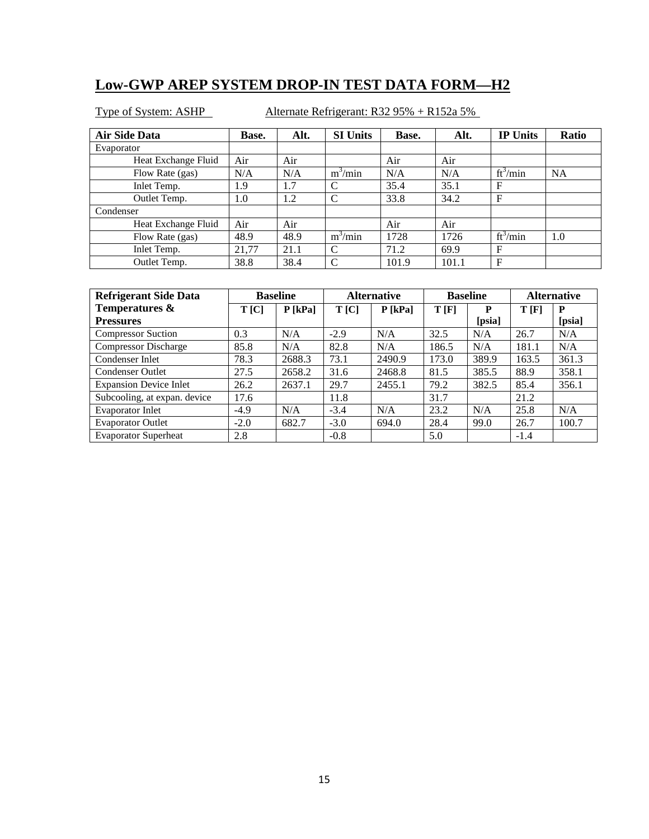# **Low-GWP AREP SYSTEM DROP-IN TEST DATA FORM—H2**

| <b>Air Side Data</b> | Base. | Alt.             | <b>SI Units</b> | Base. | Alt.  | <b>IP Units</b> | Ratio     |
|----------------------|-------|------------------|-----------------|-------|-------|-----------------|-----------|
| Evaporator           |       |                  |                 |       |       |                 |           |
| Heat Exchange Fluid  | Air   | Air              |                 | Air   | Air   |                 |           |
| Flow Rate (gas)      | N/A   | N/A              | $m^3/min$       | N/A   | N/A   | $ft^3/min$      | <b>NA</b> |
| Inlet Temp.          | 1.9   | 1.7              | C               | 35.4  | 35.1  | $\mathbf F$     |           |
| Outlet Temp.         | 1.0   | $\overline{1.2}$ | C               | 33.8  | 34.2  | F               |           |
| Condenser            |       |                  |                 |       |       |                 |           |
| Heat Exchange Fluid  | Air   | Air              |                 | Air   | Air   |                 |           |
| Flow Rate (gas)      | 48.9  | 48.9             | $m^3/min$       | 1728  | 1726  | $ft^3/min$      | 1.0       |
| Inlet Temp.          | 21,77 | 21.1             | C               | 71.2  | 69.9  | $\mathbf F$     |           |
| Outlet Temp.         | 38.8  | 38.4             | C               | 101.9 | 101.1 | F               |           |

| <b>Refrigerant Side Data</b>  |        | <b>Baseline</b> |        | <b>Alternative</b> |       | <b>Baseline</b> |        | <b>Alternative</b> |
|-------------------------------|--------|-----------------|--------|--------------------|-------|-----------------|--------|--------------------|
| Temperatures &                | T[C]   | $P$ [kPa]       | T[C]   | $P$ [kPa]          | T[F]  | P               | T[F]   | P                  |
| <b>Pressures</b>              |        |                 |        |                    |       | [psia]          |        | [psia]             |
| <b>Compressor Suction</b>     | 0.3    | N/A             | $-2.9$ | N/A                | 32.5  | N/A             | 26.7   | N/A                |
| <b>Compressor Discharge</b>   | 85.8   | N/A             | 82.8   | N/A                | 186.5 | N/A             | 181.1  | N/A                |
| Condenser Inlet               | 78.3   | 2688.3          | 73.1   | 2490.9             | 173.0 | 389.9           | 163.5  | 361.3              |
| <b>Condenser Outlet</b>       | 27.5   | 2658.2          | 31.6   | 2468.8             | 81.5  | 385.5           | 88.9   | 358.1              |
| <b>Expansion Device Inlet</b> | 26.2   | 2637.1          | 29.7   | 2455.1             | 79.2  | 382.5           | 85.4   | 356.1              |
| Subcooling, at expan. device  | 17.6   |                 | 11.8   |                    | 31.7  |                 | 21.2   |                    |
| <b>Evaporator Inlet</b>       | $-4.9$ | N/A             | $-3.4$ | N/A                | 23.2  | N/A             | 25.8   | N/A                |
| <b>Evaporator Outlet</b>      | $-2.0$ | 682.7           | $-3.0$ | 694.0              | 28.4  | 99.0            | 26.7   | 100.7              |
| <b>Evaporator Superheat</b>   | 2.8    |                 | $-0.8$ |                    | 5.0   |                 | $-1.4$ |                    |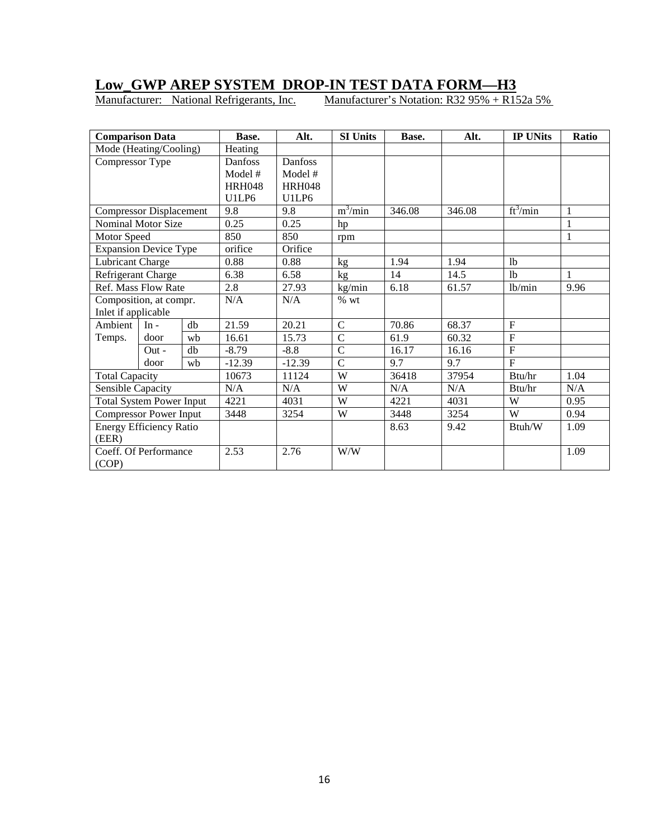# **Low\_GWP AREP SYSTEM\_DROP-IN TEST DATA FORM—H3**<br>Manufacturer: National Refrigerants, Inc. Manufacturer's Notation: R32 95% + R152a 5%

Manufacturer: National Refrigerants, Inc.

| <b>Comparison Data</b>          |                                |      | Base.                          | Alt.                           | <b>SI Units</b> | Base.  | Alt.           | <b>IP UNits</b> | <b>Ratio</b> |
|---------------------------------|--------------------------------|------|--------------------------------|--------------------------------|-----------------|--------|----------------|-----------------|--------------|
|                                 | Mode (Heating/Cooling)         |      | Heating                        |                                |                 |        |                |                 |              |
| Compressor Type                 |                                |      | Danfoss                        | Danfoss                        |                 |        |                |                 |              |
|                                 |                                |      | Model #                        | Model #                        |                 |        |                |                 |              |
|                                 |                                |      | <b>HRH048</b>                  | <b>HRH048</b>                  |                 |        |                |                 |              |
|                                 |                                |      | U <sub>1</sub> LP <sub>6</sub> | U <sub>1</sub> LP <sub>6</sub> |                 |        |                |                 |              |
|                                 | <b>Compressor Displacement</b> |      | 9.8                            | 9.8                            | $m^3/m$ in      | 346.08 | 346.08         | $ft^3/min$      | $\mathbf{1}$ |
| Nominal Motor Size              |                                | 0.25 | 0.25                           | hp                             |                 |        |                | $\mathbf{1}$    |              |
| Motor Speed                     |                                |      | 850                            | 850                            | rpm             |        |                |                 | 1            |
|                                 | <b>Expansion Device Type</b>   |      | orifice                        | Orifice                        |                 |        |                |                 |              |
| Lubricant Charge                |                                |      | 0.88                           | 0.88                           | kg              | 1.94   | 1.94           | 1 <sub>b</sub>  |              |
| Refrigerant Charge              |                                | 6.38 | 6.58                           | kg                             | 14              | 14.5   | 1 <sub>b</sub> | 1               |              |
| Ref. Mass Flow Rate             |                                | 2.8  | 27.93                          | kg/min                         | 6.18            | 61.57  | lb/min         | 9.96            |              |
| Composition, at compr.          |                                | N/A  | N/A                            | $%$ wt                         |                 |        |                |                 |              |
| Inlet if applicable             |                                |      |                                |                                |                 |        |                |                 |              |
| Ambient                         | $In -$                         | db   | 21.59                          | 20.21                          | $\mathbf C$     | 70.86  | 68.37          | $\mathbf{F}$    |              |
| Temps.                          | door                           | wb   | 16.61                          | 15.73                          | $\mathbf C$     | 61.9   | 60.32          | $\mathbf{F}$    |              |
|                                 | Out -                          | dh   | $-8.79$                        | $-8.8$                         | $\mathcal{C}$   | 16.17  | 16.16          | $\mathbf{F}$    |              |
|                                 | door                           | wb   | $-12.39$                       | $-12.39$                       | $\overline{C}$  | 9.7    | 9.7            | $\mathbf{F}$    |              |
| <b>Total Capacity</b>           |                                |      | 10673                          | 11124                          | W               | 36418  | 37954          | Btu/hr          | 1.04         |
| Sensible Capacity               |                                |      | N/A                            | N/A                            | W               | N/A    | N/A            | Btu/hr          | N/A          |
| <b>Total System Power Input</b> |                                | 4221 | 4031                           | W                              | 4221            | 4031   | W              | 0.95            |              |
| <b>Compressor Power Input</b>   |                                | 3448 | 3254                           | W                              | 3448            | 3254   | W              | 0.94            |              |
| <b>Energy Efficiency Ratio</b>  |                                |      |                                |                                | 8.63            | 9.42   | Btuh/W         | 1.09            |              |
| (EER)                           |                                |      |                                |                                |                 |        |                |                 |              |
|                                 | Coeff. Of Performance          |      | 2.53                           | 2.76                           | W/W             |        |                |                 | 1.09         |
| (COP)                           |                                |      |                                |                                |                 |        |                |                 |              |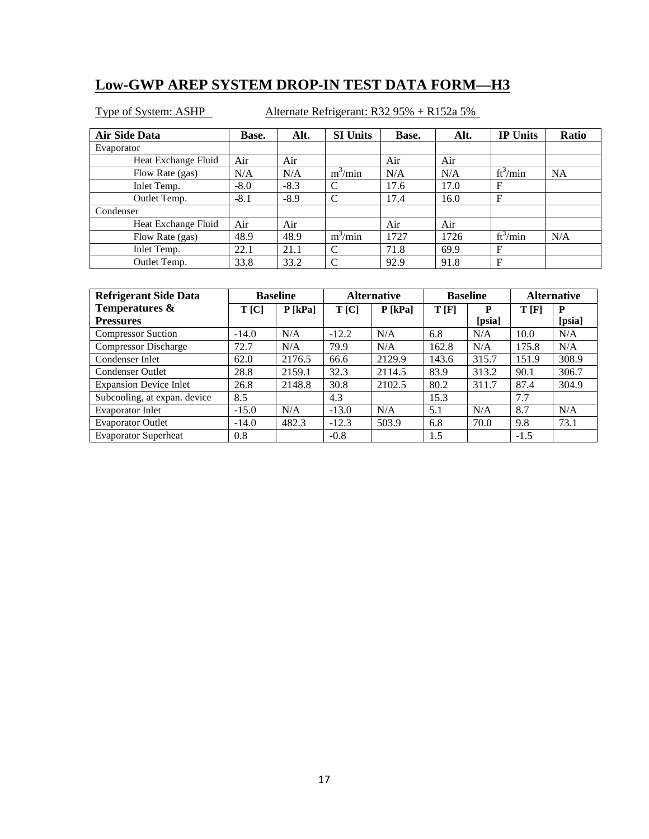# **Low-GWP AREP SYSTEM DROP-IN TEST DATA FORM—H3**

| <b>Air Side Data</b> | Base.  | Alt.   | <b>SI Units</b> | Base. | Alt. | <b>IP Units</b> | Ratio     |
|----------------------|--------|--------|-----------------|-------|------|-----------------|-----------|
| Evaporator           |        |        |                 |       |      |                 |           |
| Heat Exchange Fluid  | Air    | Air    |                 | Air   | Air  |                 |           |
| Flow Rate (gas)      | N/A    | N/A    | $m^3/min$       | N/A   | N/A  | $ft^3/min$      | <b>NA</b> |
| Inlet Temp.          | $-8.0$ | $-8.3$ | C               | 17.6  | 17.0 | $\mathbf F$     |           |
| Outlet Temp.         | $-8.1$ | $-8.9$ | C               | 17.4  | 16.0 | $\mathbf F$     |           |
| Condenser            |        |        |                 |       |      |                 |           |
| Heat Exchange Fluid  | Air    | Air    |                 | Air   | Air  |                 |           |
| Flow Rate (gas)      | 48.9   | 48.9   | $m^3/m$ in      | 1727  | 1726 | $ft^3/min$      | N/A       |
| Inlet Temp.          | 22.1   | 21.1   | C               | 71.8  | 69.9 | $\mathbf F$     |           |
| Outlet Temp.         | 33.8   | 33.2   | C               | 92.9  | 91.8 | $\mathbf F$     |           |

| <b>Refrigerant Side Data</b>  |         | <b>Baseline</b> |         | <b>Alternative</b> |       | <b>Baseline</b> |        | <b>Alternative</b> |
|-------------------------------|---------|-----------------|---------|--------------------|-------|-----------------|--------|--------------------|
| Temperatures &                | T[C]    | $P$ [kPa]       | T[C]    | $P$ [kPa]          | T[F]  | P               | T[F]   | P                  |
| <b>Pressures</b>              |         |                 |         |                    |       | [psia]          |        | [psia]             |
| <b>Compressor Suction</b>     | $-14.0$ | N/A             | $-12.2$ | N/A                | 6.8   | N/A             | 10.0   | N/A                |
| <b>Compressor Discharge</b>   | 72.7    | N/A             | 79.9    | N/A                | 162.8 | N/A             | 175.8  | N/A                |
| Condenser Inlet               | 62.0    | 2176.5          | 66.6    | 2129.9             | 143.6 | 315.7           | 151.9  | 308.9              |
| <b>Condenser Outlet</b>       | 28.8    | 2159.1          | 32.3    | 2114.5             | 83.9  | 313.2           | 90.1   | 306.7              |
| <b>Expansion Device Inlet</b> | 26.8    | 2148.8          | 30.8    | 2102.5             | 80.2  | 311.7           | 87.4   | 304.9              |
| Subcooling, at expan. device  | 8.5     |                 | 4.3     |                    | 15.3  |                 | 7.7    |                    |
| <b>Evaporator Inlet</b>       | $-15.0$ | N/A             | $-13.0$ | N/A                | 5.1   | N/A             | 8.7    | N/A                |
| <b>Evaporator Outlet</b>      | $-14.0$ | 482.3           | $-12.3$ | 503.9              | 6.8   | 70.0            | 9.8    | 73.1               |
| <b>Evaporator Superheat</b>   | 0.8     |                 | $-0.8$  |                    | 1.5   |                 | $-1.5$ |                    |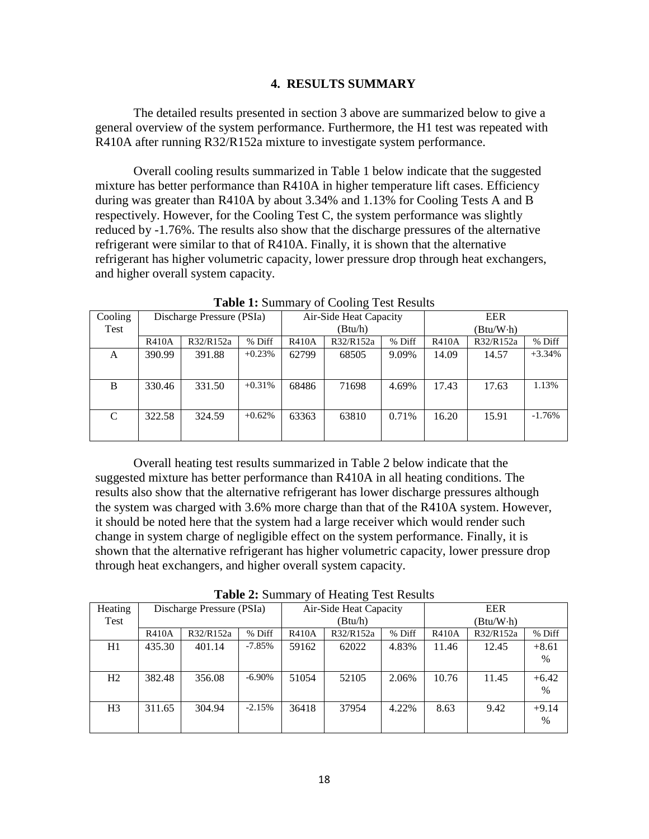#### **4. RESULTS SUMMARY**

The detailed results presented in section 3 above are summarized below to give a general overview of the system performance. Furthermore, the H1 test was repeated with R410A after running R32/R152a mixture to investigate system performance.

Overall cooling results summarized in Table 1 below indicate that the suggested mixture has better performance than R410A in higher temperature lift cases. Efficiency during was greater than R410A by about 3.34% and 1.13% for Cooling Tests A and B respectively. However, for the Cooling Test C, the system performance was slightly reduced by -1.76%. The results also show that the discharge pressures of the alternative refrigerant were similar to that of R410A. Finally, it is shown that the alternative refrigerant has higher volumetric capacity, lower pressure drop through heat exchangers, and higher overall system capacity.

| Cooling |              | Discharge Pressure (PSIa) |          |              | $\sqrt{2}$<br>Air-Side Heat Capacity |        | <b>EER</b>   |           |          |  |
|---------|--------------|---------------------------|----------|--------------|--------------------------------------|--------|--------------|-----------|----------|--|
| Test    |              |                           |          | (Btu/h)      |                                      |        |              | (Btu/W·h) |          |  |
|         | <b>R410A</b> | R32/R152a                 | % Diff   | <b>R410A</b> | R32/R152a                            | % Diff | <b>R410A</b> | R32/R152a | % Diff   |  |
| A       | 390.99       | 391.88                    | $+0.23%$ | 62799        | 68505                                | 9.09%  | 14.09        | 14.57     | $+3.34%$ |  |
|         |              |                           |          |              |                                      |        |              |           |          |  |
| B       | 330.46       | 331.50                    | $+0.31%$ | 68486        | 71698                                | 4.69%  | 17.43        | 17.63     | 1.13%    |  |
|         |              |                           |          |              |                                      |        |              |           |          |  |
| C       | 322.58       | 324.59                    | $+0.62%$ | 63363        | 63810                                | 0.71%  | 16.20        | 15.91     | $-1.76%$ |  |
|         |              |                           |          |              |                                      |        |              |           |          |  |

**Table 1:** Summary of Cooling Test Results

Overall heating test results summarized in Table 2 below indicate that the suggested mixture has better performance than R410A in all heating conditions. The results also show that the alternative refrigerant has lower discharge pressures although the system was charged with 3.6% more charge than that of the R410A system. However, it should be noted here that the system had a large receiver which would render such change in system charge of negligible effect on the system performance. Finally, it is shown that the alternative refrigerant has higher volumetric capacity, lower pressure drop through heat exchangers, and higher overall system capacity.

|                | $\mathbf{1}$ and $\mathbf{2}$ is defining to<br>$\sigma$ require rest research |                           |           |                        |           |        |              |           |         |  |  |  |
|----------------|--------------------------------------------------------------------------------|---------------------------|-----------|------------------------|-----------|--------|--------------|-----------|---------|--|--|--|
| Heating        |                                                                                | Discharge Pressure (PSIa) |           | Air-Side Heat Capacity |           |        | <b>EER</b>   |           |         |  |  |  |
| Test           |                                                                                |                           |           | (Btu/h)                |           |        | Btu/W·h)     |           |         |  |  |  |
|                | <b>R410A</b>                                                                   | R32/R152a                 | % Diff    | <b>R410A</b>           | R32/R152a | % Diff | <b>R410A</b> | R32/R152a | % Diff  |  |  |  |
| H1             | 435.30                                                                         | 401.14                    | $-7.85\%$ | 59162                  | 62022     | 4.83%  | 11.46        | 12.45     | $+8.61$ |  |  |  |
|                |                                                                                |                           |           |                        |           |        |              |           | $\%$    |  |  |  |
| H2             | 382.48                                                                         | 356.08                    | $-6.90\%$ | 51054                  | 52105     | 2.06%  | 10.76        | 11.45     | $+6.42$ |  |  |  |
|                |                                                                                |                           |           |                        |           |        |              |           | $\%$    |  |  |  |
| H <sub>3</sub> | 311.65                                                                         | 304.94                    | $-2.15%$  | 36418                  | 37954     | 4.22%  | 8.63         | 9.42      | $+9.14$ |  |  |  |
|                |                                                                                |                           |           |                        |           |        |              |           | %       |  |  |  |

**Table 2:** Summary of Heating Test Results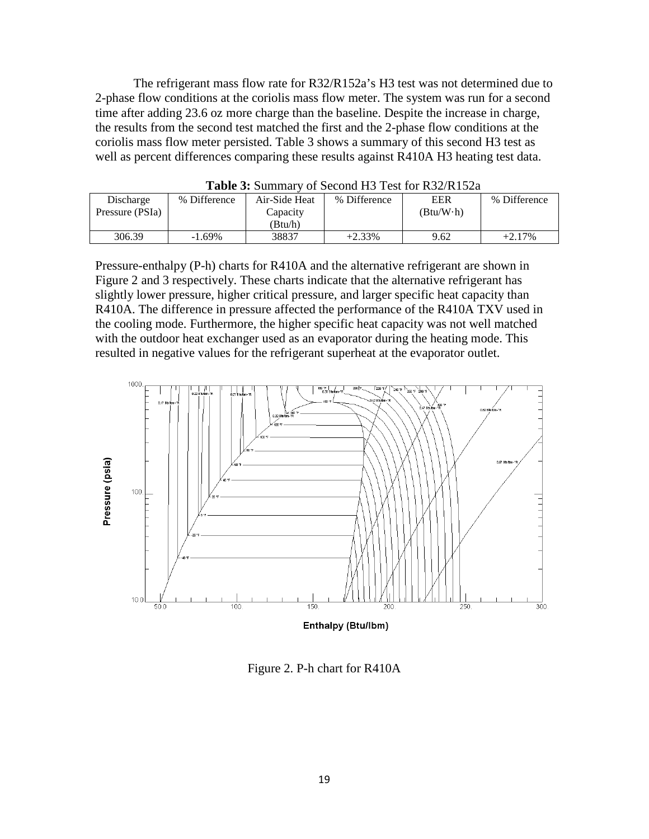The refrigerant mass flow rate for R32/R152a's H3 test was not determined due to 2-phase flow conditions at the coriolis mass flow meter. The system was run for a second time after adding 23.6 oz more charge than the baseline. Despite the increase in charge, the results from the second test matched the first and the 2-phase flow conditions at the coriolis mass flow meter persisted. Table 3 shows a summary of this second H3 test as well as percent differences comparing these results against R410A H3 heating test data.

|                 | <b>THEIR DESCRIPTION</b> TO DECOIN THE TEST TO TREE INTERFER |               |              |            |              |  |  |  |  |  |  |  |  |
|-----------------|--------------------------------------------------------------|---------------|--------------|------------|--------------|--|--|--|--|--|--|--|--|
| Discharge       | % Difference                                                 | Air-Side Heat | % Difference | <b>EER</b> | % Difference |  |  |  |  |  |  |  |  |
| Pressure (PSIa) |                                                              | Capacity      |              | (Btu/W·h)  |              |  |  |  |  |  |  |  |  |
|                 |                                                              | (Btu/h)       |              |            |              |  |  |  |  |  |  |  |  |
| 306.39          | $-1.69\%$                                                    | 38837         | $+2.33\%$    | 9.62       | $+2.17%$     |  |  |  |  |  |  |  |  |

**Table 3:** Summary of Second H3 Test for R32/R152a

Pressure-enthalpy (P-h) charts for R410A and the alternative refrigerant are shown in Figure 2 and 3 respectively. These charts indicate that the alternative refrigerant has slightly lower pressure, higher critical pressure, and larger specific heat capacity than R410A. The difference in pressure affected the performance of the R410A TXV used in the cooling mode. Furthermore, the higher specific heat capacity was not well matched with the outdoor heat exchanger used as an evaporator during the heating mode. This resulted in negative values for the refrigerant superheat at the evaporator outlet.



Figure 2. P-h chart for R410A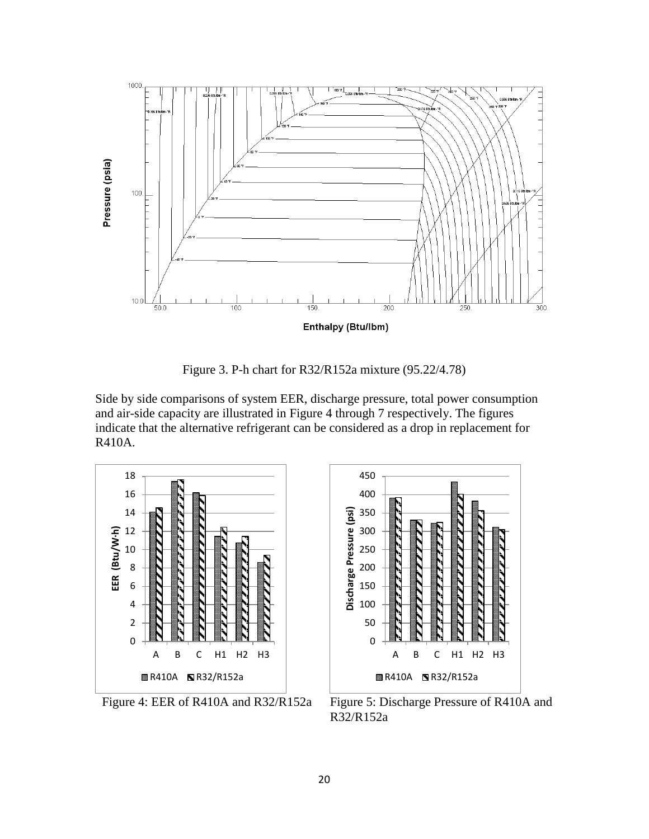

Figure 3. P-h chart for R32/R152a mixture (95.22/4.78)

Side by side comparisons of system EER, discharge pressure, total power consumption and air-side capacity are illustrated in Figure 4 through 7 respectively. The figures indicate that the alternative refrigerant can be considered as a drop in replacement for R410A.





Figure 4: EER of R410A and R32/R152a Figure 5: Discharge Pressure of R410A and R32/R152a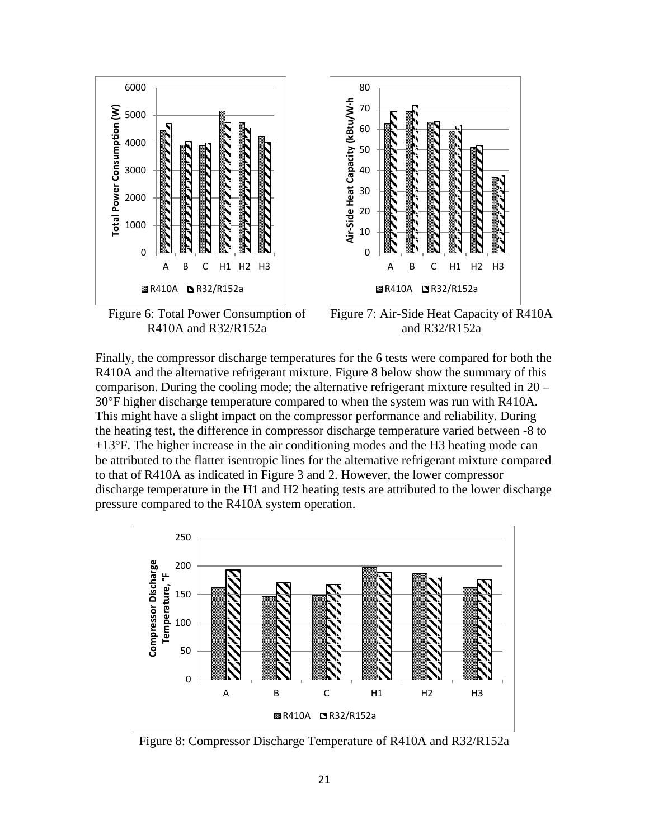

Figure 6: Total Power Consumption of R410A and R32/R152a



Figure 7: Air-Side Heat Capacity of R410A and R32/R152a

Finally, the compressor discharge temperatures for the 6 tests were compared for both the R410A and the alternative refrigerant mixture. Figure 8 below show the summary of this comparison. During the cooling mode; the alternative refrigerant mixture resulted in 20 – 30°F higher discharge temperature compared to when the system was run with R410A. This might have a slight impact on the compressor performance and reliability. During the heating test, the difference in compressor discharge temperature varied between -8 to +13°F. The higher increase in the air conditioning modes and the H3 heating mode can be attributed to the flatter isentropic lines for the alternative refrigerant mixture compared to that of R410A as indicated in Figure 3 and 2. However, the lower compressor discharge temperature in the H1 and H2 heating tests are attributed to the lower discharge pressure compared to the R410A system operation.



Figure 8: Compressor Discharge Temperature of R410A and R32/R152a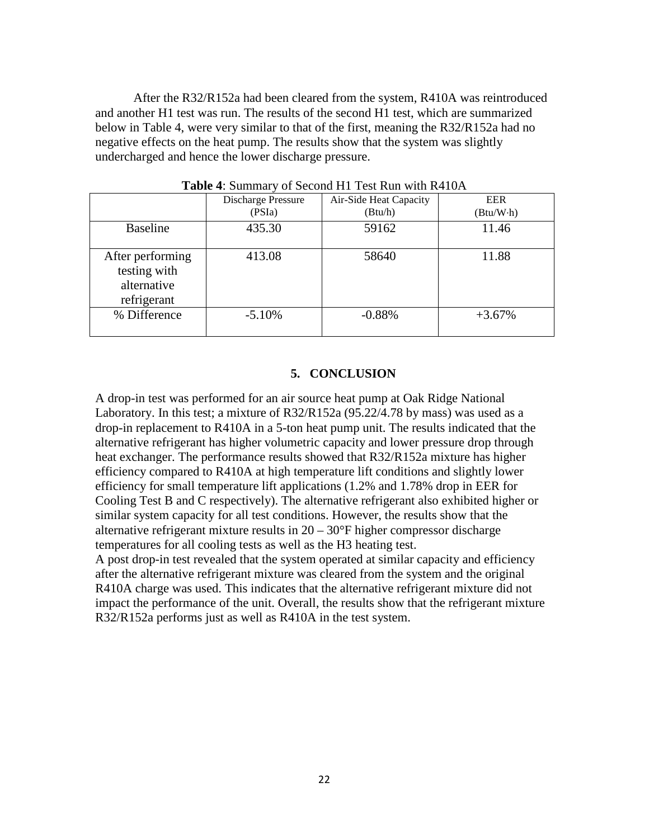After the R32/R152a had been cleared from the system, R410A was reintroduced and another H1 test was run. The results of the second H1 test, which are summarized below in Table 4, were very similar to that of the first, meaning the R32/R152a had no negative effects on the heat pump. The results show that the system was slightly undercharged and hence the lower discharge pressure.

|                                                                | <b>Discharge Pressure</b><br>(PSIa) | Air-Side Heat Capacity<br>(Btu/h) | <b>EER</b><br>(Btu/W·h) |
|----------------------------------------------------------------|-------------------------------------|-----------------------------------|-------------------------|
|                                                                |                                     |                                   |                         |
| <b>Baseline</b>                                                | 435.30                              | 59162                             | 11.46                   |
| After performing<br>testing with<br>alternative<br>refrigerant | 413.08                              | 58640                             | 11.88                   |
| % Difference                                                   | $-5.10%$                            | $-0.88%$                          | $+3.67%$                |

**Table 4**: Summary of Second H1 Test Run with R410A

#### **5. CONCLUSION**

A drop-in test was performed for an air source heat pump at Oak Ridge National Laboratory. In this test; a mixture of R32/R152a (95.22/4.78 by mass) was used as a drop-in replacement to R410A in a 5-ton heat pump unit. The results indicated that the alternative refrigerant has higher volumetric capacity and lower pressure drop through heat exchanger. The performance results showed that R32/R152a mixture has higher efficiency compared to R410A at high temperature lift conditions and slightly lower efficiency for small temperature lift applications (1.2% and 1.78% drop in EER for Cooling Test B and C respectively). The alternative refrigerant also exhibited higher or similar system capacity for all test conditions. However, the results show that the alternative refrigerant mixture results in  $20 - 30^{\circ}$ F higher compressor discharge temperatures for all cooling tests as well as the H3 heating test.

A post drop-in test revealed that the system operated at similar capacity and efficiency after the alternative refrigerant mixture was cleared from the system and the original R410A charge was used. This indicates that the alternative refrigerant mixture did not impact the performance of the unit. Overall, the results show that the refrigerant mixture R32/R152a performs just as well as R410A in the test system.